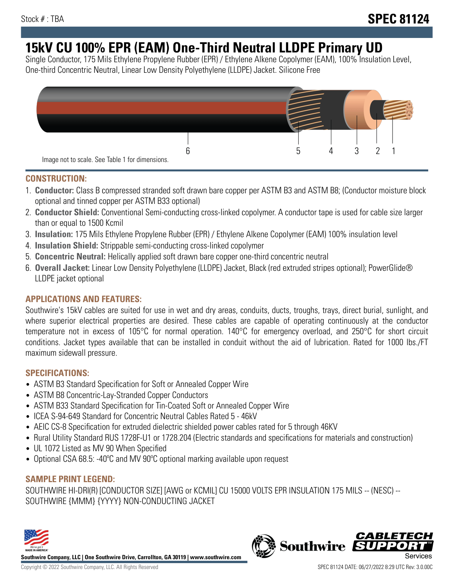# **15kV CU 100% EPR (EAM) One-Third Neutral LLDPE Primary UD**

Single Conductor, 175 Mils Ethylene Propylene Rubber (EPR) / Ethylene Alkene Copolymer (EAM), 100% Insulation Level, One-third Concentric Neutral, Linear Low Density Polyethylene (LLDPE) Jacket. Silicone Free



### **CONSTRUCTION:**

- 1. **Conductor:** Class B compressed stranded soft drawn bare copper per ASTM B3 and ASTM B8; (Conductor moisture block optional and tinned copper per ASTM B33 optional)
- 2. **Conductor Shield:** Conventional Semi-conducting cross-linked copolymer. A conductor tape is used for cable size larger than or equal to 1500 Kcmil
- 3. **Insulation:** 175 Mils Ethylene Propylene Rubber (EPR) / Ethylene Alkene Copolymer (EAM) 100% insulation level
- 4. **Insulation Shield:** Strippable semi-conducting cross-linked copolymer
- 5. **Concentric Neutral:** Helically applied soft drawn bare copper one-third concentric neutral
- 6. **Overall Jacket:** Linear Low Density Polyethylene (LLDPE) Jacket, Black (red extruded stripes optional); PowerGlide® LLDPE jacket optional

### **APPLICATIONS AND FEATURES:**

Southwire's 15kV cables are suited for use in wet and dry areas, conduits, ducts, troughs, trays, direct burial, sunlight, and where superior electrical properties are desired. These cables are capable of operating continuously at the conductor temperature not in excess of 105°C for normal operation. 140°C for emergency overload, and 250°C for short circuit conditions. Jacket types available that can be installed in conduit without the aid of lubrication. Rated for 1000 lbs./FT maximum sidewall pressure.

### **SPECIFICATIONS:**

- ASTM B3 Standard Specification for Soft or Annealed Copper Wire
- ASTM B8 Concentric-Lay-Stranded Copper Conductors
- ASTM B33 Standard Specification for Tin-Coated Soft or Annealed Copper Wire
- ICEA S-94-649 Standard for Concentric Neutral Cables Rated 5 46kV
- AEIC CS-8 Specification for extruded dielectric shielded power cables rated for 5 through 46KV
- Rural Utility Standard RUS 1728F-U1 or 1728.204 (Electric standards and specifications for materials and construction)
- UL 1072 Listed as MV 90 When Specified
- Optional CSA 68.5: -40°C and MV 90°C optional marking available upon request

# **SAMPLE PRINT LEGEND:**

SOUTHWIRE HI-DRI(R) [CONDUCTOR SIZE] [AWG or KCMIL] CU 15000 VOLTS EPR INSULATION 175 MILS -- (NESC) -- SOUTHWIRE {MMM} {YYYY} NON-CONDUCTING JACKET



**Southwire Company, LLC | One Southwire Drive, Carrollton, GA 30119 | www.southwire.com**